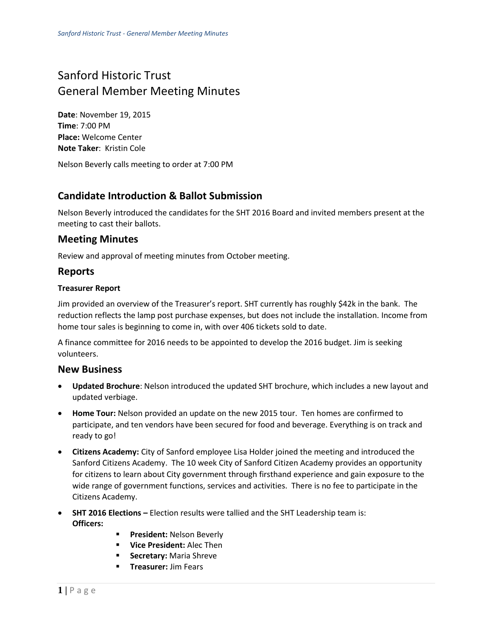# Sanford Historic Trust General Member Meeting Minutes

**Date**: November 19, 2015 **Time**: 7:00 PM **Place:** Welcome Center **Note Taker**: Kristin Cole

Nelson Beverly calls meeting to order at 7:00 PM

## **Candidate Introduction & Ballot Submission**

Nelson Beverly introduced the candidates for the SHT 2016 Board and invited members present at the meeting to cast their ballots.

## **Meeting Minutes**

Review and approval of meeting minutes from October meeting.

## **Reports**

#### **Treasurer Report**

Jim provided an overview of the Treasurer's report. SHT currently has roughly \$42k in the bank. The reduction reflects the lamp post purchase expenses, but does not include the installation. Income from home tour sales is beginning to come in, with over 406 tickets sold to date.

A finance committee for 2016 needs to be appointed to develop the 2016 budget. Jim is seeking volunteers.

### **New Business**

- **Updated Brochure**: Nelson introduced the updated SHT brochure, which includes a new layout and updated verbiage.
- **Home Tour:** Nelson provided an update on the new 2015 tour. Ten homes are confirmed to participate, and ten vendors have been secured for food and beverage. Everything is on track and ready to go!
- **Citizens Academy:** City of Sanford employee Lisa Holder joined the meeting and introduced the Sanford Citizens Academy. The 10 week City of Sanford Citizen Academy provides an opportunity for citizens to learn about City government through firsthand experience and gain exposure to the wide range of government functions, services and activities. There is no fee to participate in the Citizens Academy.
- **SHT 2016 Elections –** Election results were tallied and the SHT Leadership team is: **Officers:**
	- **President: Nelson Beverly**
	- **Vice President:** Alec Then
	- **Secretary: Maria Shreve**
	- **Treasurer: Jim Fears**